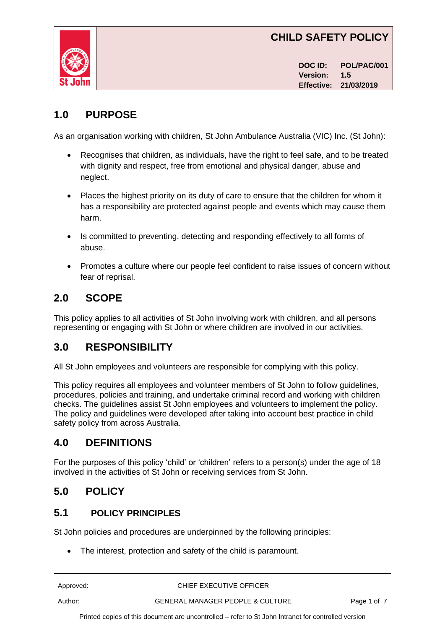# **CHILD SAFETY POLICY**



**DOC ID: POL/PAC/001 Version: 1.5 Effective: 21/03/2019**

# **1.0 PURPOSE**

As an organisation working with children, St John Ambulance Australia (VIC) Inc. (St John):

- Recognises that children, as individuals, have the right to feel safe, and to be treated with dignity and respect, free from emotional and physical danger, abuse and neglect.
- Places the highest priority on its duty of care to ensure that the children for whom it has a responsibility are protected against people and events which may cause them harm.
- Is committed to preventing, detecting and responding effectively to all forms of abuse.
- Promotes a culture where our people feel confident to raise issues of concern without fear of reprisal.

# **2.0 SCOPE**

This policy applies to all activities of St John involving work with children, and all persons representing or engaging with St John or where children are involved in our activities.

# **3.0 RESPONSIBILITY**

All St John employees and volunteers are responsible for complying with this policy.

This policy requires all employees and volunteer members of St John to follow guidelines, procedures, policies and training, and undertake criminal record and working with children checks. The guidelines assist St John employees and volunteers to implement the policy. The policy and guidelines were developed after taking into account best practice in child safety policy from across Australia.

# **4.0 DEFINITIONS**

For the purposes of this policy 'child' or 'children' refers to a person(s) under the age of 18 involved in the activities of St John or receiving services from St John.

# **5.0 POLICY**

### **5.1 POLICY PRINCIPLES**

St John policies and procedures are underpinned by the following principles:

The interest, protection and safety of the child is paramount.

Approved: CHIEF EXECUTIVE OFFICER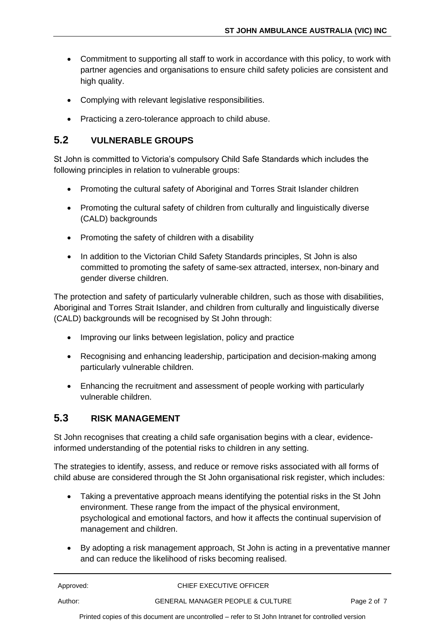- Commitment to supporting all staff to work in accordance with this policy, to work with partner agencies and organisations to ensure child safety policies are consistent and high quality.
- Complying with relevant legislative responsibilities.
- Practicing a zero-tolerance approach to child abuse.

#### **5.2 VULNERABLE GROUPS**

St John is committed to Victoria's compulsory Child Safe Standards which includes the following principles in relation to vulnerable groups:

- Promoting the cultural safety of Aboriginal and Torres Strait Islander children
- Promoting the cultural safety of children from culturally and linguistically diverse (CALD) backgrounds
- Promoting the safety of children with a disability
- In addition to the Victorian Child Safety Standards principles, St John is also committed to promoting the safety of same-sex attracted, intersex, non-binary and gender diverse children.

The protection and safety of particularly vulnerable children, such as those with disabilities, Aboriginal and Torres Strait Islander, and children from culturally and linguistically diverse (CALD) backgrounds will be recognised by St John through:

- Improving our links between legislation, policy and practice
- Recognising and enhancing leadership, participation and decision-making among particularly vulnerable children.
- Enhancing the recruitment and assessment of people working with particularly vulnerable children.

#### **5.3 RISK MANAGEMENT**

St John recognises that creating a child safe organisation begins with a clear, evidenceinformed understanding of the potential risks to children in any setting.

The strategies to identify, assess, and reduce or remove risks associated with all forms of child abuse are considered through the St John organisational risk register, which includes:

- Taking a preventative approach means identifying the potential risks in the St John environment. These range from the impact of the physical environment, psychological and emotional factors, and how it affects the continual supervision of management and children.
- By adopting a risk management approach, St John is acting in a preventative manner and can reduce the likelihood of risks becoming realised.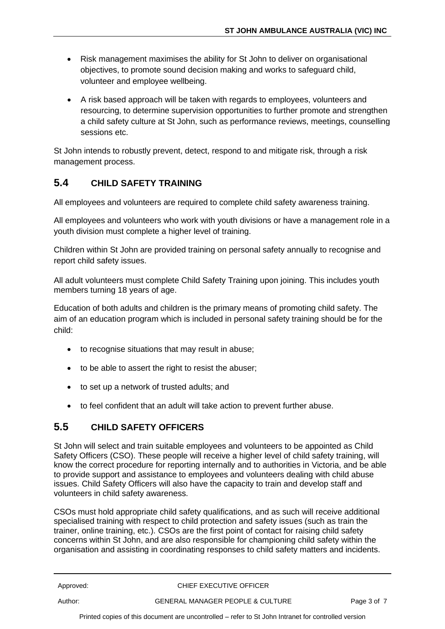- Risk management maximises the ability for St John to deliver on organisational objectives, to promote sound decision making and works to safeguard child, volunteer and employee wellbeing.
- A risk based approach will be taken with regards to employees, volunteers and resourcing, to determine supervision opportunities to further promote and strengthen a child safety culture at St John, such as performance reviews, meetings, counselling sessions etc.

St John intends to robustly prevent, detect, respond to and mitigate risk, through a risk management process.

### **5.4 CHILD SAFETY TRAINING**

All employees and volunteers are required to complete child safety awareness training.

All employees and volunteers who work with youth divisions or have a management role in a youth division must complete a higher level of training.

Children within St John are provided training on personal safety annually to recognise and report child safety issues.

All adult volunteers must complete Child Safety Training upon joining. This includes youth members turning 18 years of age.

Education of both adults and children is the primary means of promoting child safety. The aim of an education program which is included in personal safety training should be for the child:

- to recognise situations that may result in abuse;
- to be able to assert the right to resist the abuser;
- to set up a network of trusted adults; and
- to feel confident that an adult will take action to prevent further abuse.

### **5.5 CHILD SAFETY OFFICERS**

St John will select and train suitable employees and volunteers to be appointed as Child Safety Officers (CSO). These people will receive a higher level of child safety training, will know the correct procedure for reporting internally and to authorities in Victoria, and be able to provide support and assistance to employees and volunteers dealing with child abuse issues. Child Safety Officers will also have the capacity to train and develop staff and volunteers in child safety awareness.

CSOs must hold appropriate child safety qualifications, and as such will receive additional specialised training with respect to child protection and safety issues (such as train the trainer, online training, etc.). CSOs are the first point of contact for raising child safety concerns within St John, and are also responsible for championing child safety within the organisation and assisting in coordinating responses to child safety matters and incidents.

Approved: CHIEF EXECUTIVE OFFICER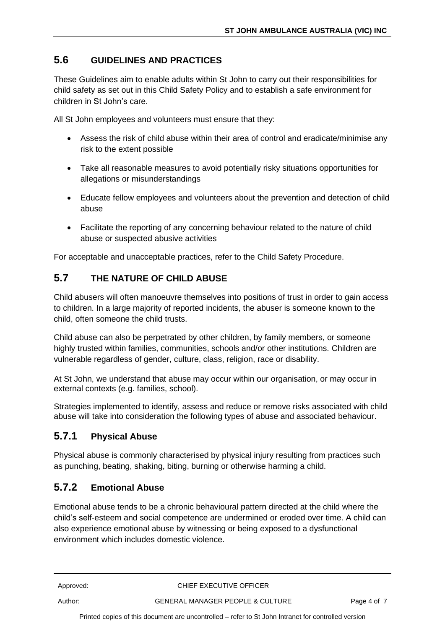### **5.6 GUIDELINES AND PRACTICES**

These Guidelines aim to enable adults within St John to carry out their responsibilities for child safety as set out in this Child Safety Policy and to establish a safe environment for children in St John's care.

All St John employees and volunteers must ensure that they:

- Assess the risk of child abuse within their area of control and eradicate/minimise any risk to the extent possible
- Take all reasonable measures to avoid potentially risky situations opportunities for allegations or misunderstandings
- Educate fellow employees and volunteers about the prevention and detection of child abuse
- Facilitate the reporting of any concerning behaviour related to the nature of child abuse or suspected abusive activities

For acceptable and unacceptable practices, refer to the Child Safety Procedure.

#### **5.7 THE NATURE OF CHILD ABUSE**

Child abusers will often manoeuvre themselves into positions of trust in order to gain access to children. In a large majority of reported incidents, the abuser is someone known to the child, often someone the child trusts.

Child abuse can also be perpetrated by other children, by family members, or someone highly trusted within families, communities, schools and/or other institutions. Children are vulnerable regardless of gender, culture, class, religion, race or disability.

At St John, we understand that abuse may occur within our organisation, or may occur in external contexts (e.g. families, school).

Strategies implemented to identify, assess and reduce or remove risks associated with child abuse will take into consideration the following types of abuse and associated behaviour.

#### **5.7.1 Physical Abuse**

Physical abuse is commonly characterised by physical injury resulting from practices such as punching, beating, shaking, biting, burning or otherwise harming a child.

#### **5.7.2 Emotional Abuse**

Emotional abuse tends to be a chronic behavioural pattern directed at the child where the child's self-esteem and social competence are undermined or eroded over time. A child can also experience emotional abuse by witnessing or being exposed to a dysfunctional environment which includes domestic violence.

Approved: CHIEF EXECUTIVE OFFICER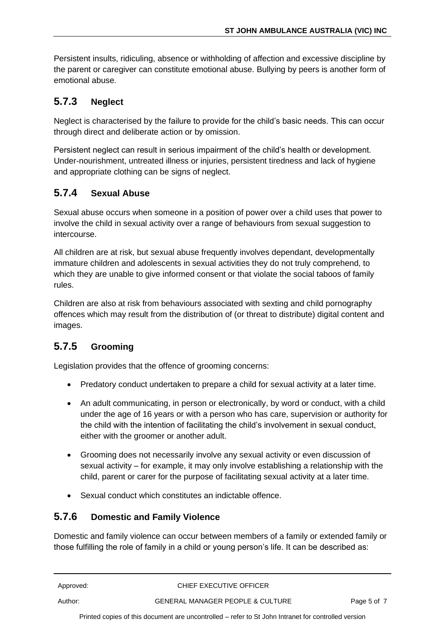Persistent insults, ridiculing, absence or withholding of affection and excessive discipline by the parent or caregiver can constitute emotional abuse. Bullying by peers is another form of emotional abuse.

# **5.7.3 Neglect**

Neglect is characterised by the failure to provide for the child's basic needs. This can occur through direct and deliberate action or by omission.

Persistent neglect can result in serious impairment of the child's health or development. Under-nourishment, untreated illness or injuries, persistent tiredness and lack of hygiene and appropriate clothing can be signs of neglect.

### **5.7.4 Sexual Abuse**

Sexual abuse occurs when someone in a position of power over a child uses that power to involve the child in sexual activity over a range of behaviours from sexual suggestion to intercourse.

All children are at risk, but sexual abuse frequently involves dependant, developmentally immature children and adolescents in sexual activities they do not truly comprehend, to which they are unable to give informed consent or that violate the social taboos of family rules.

Children are also at risk from behaviours associated with sexting and child pornography offences which may result from the distribution of (or threat to distribute) digital content and images.

# **5.7.5 Grooming**

Legislation provides that the offence of grooming concerns:

- Predatory conduct undertaken to prepare a child for sexual activity at a later time.
- An adult communicating, in person or electronically, by word or conduct, with a child under the age of 16 years or with a person who has care, supervision or authority for the child with the intention of facilitating the child's involvement in sexual conduct, either with the groomer or another adult.
- Grooming does not necessarily involve any sexual activity or even discussion of sexual activity – for example, it may only involve establishing a relationship with the child, parent or carer for the purpose of facilitating sexual activity at a later time.
- Sexual conduct which constitutes an indictable offence.

#### **5.7.6 Domestic and Family Violence**

Domestic and family violence can occur between members of a family or extended family or those fulfilling the role of family in a child or young person's life. It can be described as: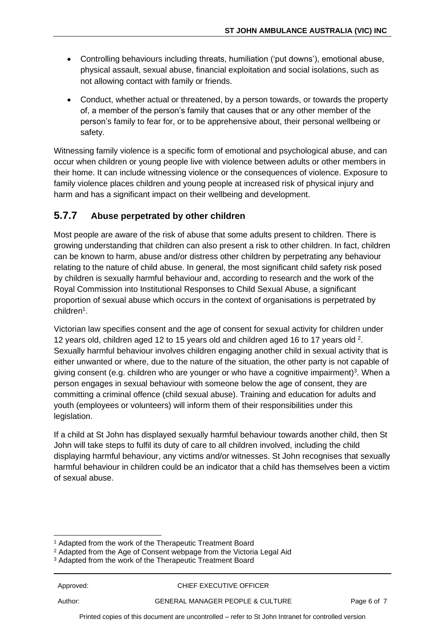- Controlling behaviours including threats, humiliation ('put downs'), emotional abuse, physical assault, sexual abuse, financial exploitation and social isolations, such as not allowing contact with family or friends.
- Conduct, whether actual or threatened, by a person towards, or towards the property of, a member of the person's family that causes that or any other member of the person's family to fear for, or to be apprehensive about, their personal wellbeing or safety.

Witnessing family violence is a specific form of emotional and psychological abuse, and can occur when children or young people live with violence between adults or other members in their home. It can include witnessing violence or the consequences of violence. Exposure to family violence places children and young people at increased risk of physical injury and harm and has a significant impact on their wellbeing and development.

### **5.7.7 Abuse perpetrated by other children**

Most people are aware of the risk of abuse that some adults present to children. There is growing understanding that children can also present a risk to other children. In fact, children can be known to harm, abuse and/or distress other children by perpetrating any behaviour relating to the nature of child abuse. In general, the most significant child safety risk posed by children is sexually harmful behaviour and, according to research and the work of the Royal Commission into Institutional Responses to Child Sexual Abuse, a significant proportion of sexual abuse which occurs in the context of organisations is perpetrated by children<sup>1</sup>.

Victorian law specifies consent and the age of consent for sexual activity for children under 12 years old, children aged 12 to 15 years old and children aged 16 to 17 years old  $2$ . Sexually harmful behaviour involves children engaging another child in sexual activity that is either unwanted or where, due to the nature of the situation, the other party is not capable of giving consent (e.g. children who are younger or who have a cognitive impairment)<sup>3</sup>. When a person engages in sexual behaviour with someone below the age of consent, they are committing a criminal offence (child sexual abuse). Training and education for adults and youth (employees or volunteers) will inform them of their responsibilities under this legislation.

If a child at St John has displayed sexually harmful behaviour towards another child, then St John will take steps to fulfil its duty of care to all children involved, including the child displaying harmful behaviour, any victims and/or witnesses. St John recognises that sexually harmful behaviour in children could be an indicator that a child has themselves been a victim of sexual abuse.

<sup>2</sup> Adapted from the Age of Consent webpage from the Victoria Legal Aid

<sup>1</sup> Adapted from the work of the Therapeutic Treatment Board

<sup>&</sup>lt;sup>3</sup> Adapted from the work of the Therapeutic Treatment Board